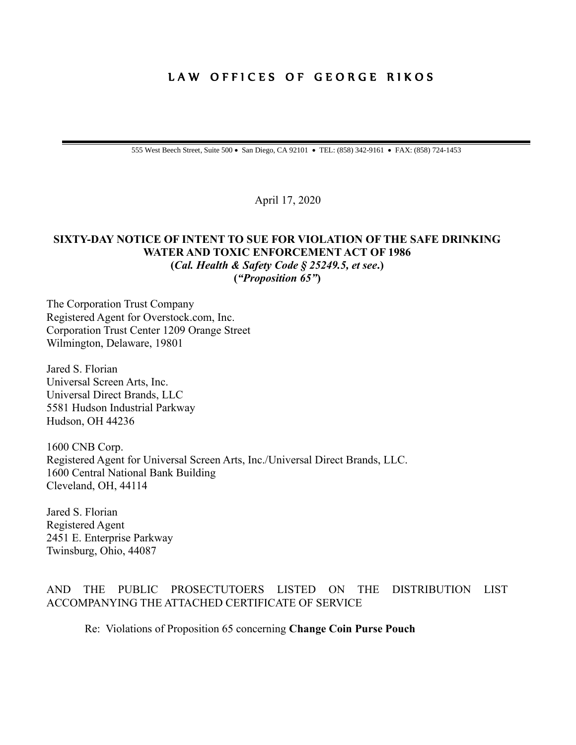## LAW OFFICES OF GEORGE RIKOS

555 West Beech Street, Suite 500 • San Diego, CA 92101 • TEL: (858) 342-9161 • FAX: (858) 724-1453

April 17, 2020

#### **SIXTY-DAY NOTICE OF INTENT TO SUE FOR VIOLATION OF THE SAFE DRINKING WATER AND TOXIC ENFORCEMENT ACT OF 1986 (***Cal. Health & Safety Code § 25249.5, et see***.) (***"Proposition 65"***)**

The Corporation Trust Company Registered Agent for Overstock.com, Inc. Corporation Trust Center 1209 Orange Street Wilmington, Delaware, 19801

Jared S. Florian Universal Screen Arts, Inc. Universal Direct Brands, LLC 5581 Hudson Industrial Parkway Hudson, OH 44236

1600 CNB Corp. Registered Agent for Universal Screen Arts, Inc./Universal Direct Brands, LLC. 1600 Central National Bank Building Cleveland, OH, 44114

Jared S. Florian Registered Agent 2451 E. Enterprise Parkway Twinsburg, Ohio, 44087

#### AND THE PUBLIC PROSECTUTOERS LISTED ON THE DISTRIBUTION LIST ACCOMPANYING THE ATTACHED CERTIFICATE OF SERVICE

Re: Violations of Proposition 65 concerning **Change Coin Purse Pouch**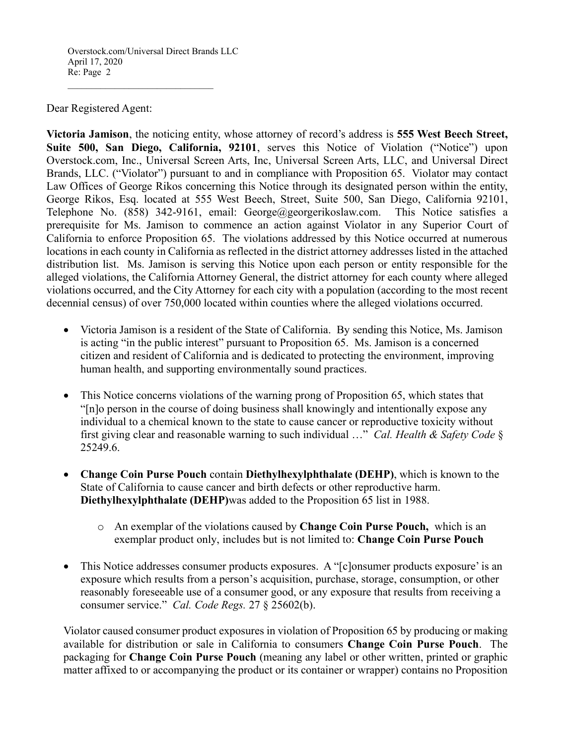Overstock.com/Universal Direct Brands LLC April 17, 2020 Re: Page 2

 $\mathcal{L}_\text{max}$  , where  $\mathcal{L}_\text{max}$  and  $\mathcal{L}_\text{max}$  and  $\mathcal{L}_\text{max}$ 

#### Dear Registered Agent:

**Victoria Jamison**, the noticing entity, whose attorney of record's address is **555 West Beech Street, Suite 500, San Diego, California, 92101**, serves this Notice of Violation ("Notice") upon Overstock.com, Inc., Universal Screen Arts, Inc, Universal Screen Arts, LLC, and Universal Direct Brands, LLC. ("Violator") pursuant to and in compliance with Proposition 65. Violator may contact Law Offices of George Rikos concerning this Notice through its designated person within the entity, George Rikos, Esq. located at 555 West Beech, Street, Suite 500, San Diego, California 92101, Telephone No. (858) 342-9161, email: George@georgerikoslaw.com. This Notice satisfies a prerequisite for Ms. Jamison to commence an action against Violator in any Superior Court of California to enforce Proposition 65. The violations addressed by this Notice occurred at numerous locations in each county in California as reflected in the district attorney addresses listed in the attached distribution list. Ms. Jamison is serving this Notice upon each person or entity responsible for the alleged violations, the California Attorney General, the district attorney for each county where alleged violations occurred, and the City Attorney for each city with a population (according to the most recent decennial census) of over 750,000 located within counties where the alleged violations occurred.

- Victoria Jamison is a resident of the State of California. By sending this Notice, Ms. Jamison is acting "in the public interest" pursuant to Proposition 65. Ms. Jamison is a concerned citizen and resident of California and is dedicated to protecting the environment, improving human health, and supporting environmentally sound practices.
- This Notice concerns violations of the warning prong of Proposition 65, which states that "[n]o person in the course of doing business shall knowingly and intentionally expose any individual to a chemical known to the state to cause cancer or reproductive toxicity without first giving clear and reasonable warning to such individual …" *Cal. Health & Safety Code* § 25249.6.
- **Change Coin Purse Pouch** contain **Diethylhexylphthalate (DEHP)**, which is known to the State of California to cause cancer and birth defects or other reproductive harm. **Diethylhexylphthalate (DEHP)**was added to the Proposition 65 list in 1988.
	- o An exemplar of the violations caused by **Change Coin Purse Pouch,** which is an exemplar product only, includes but is not limited to: **Change Coin Purse Pouch**
- This Notice addresses consumer products exposures. A "[c]onsumer products exposure' is an exposure which results from a person's acquisition, purchase, storage, consumption, or other reasonably foreseeable use of a consumer good, or any exposure that results from receiving a consumer service." *Cal. Code Regs.* 27 § 25602(b).

Violator caused consumer product exposures in violation of Proposition 65 by producing or making available for distribution or sale in California to consumers **Change Coin Purse Pouch**. The packaging for **Change Coin Purse Pouch** (meaning any label or other written, printed or graphic matter affixed to or accompanying the product or its container or wrapper) contains no Proposition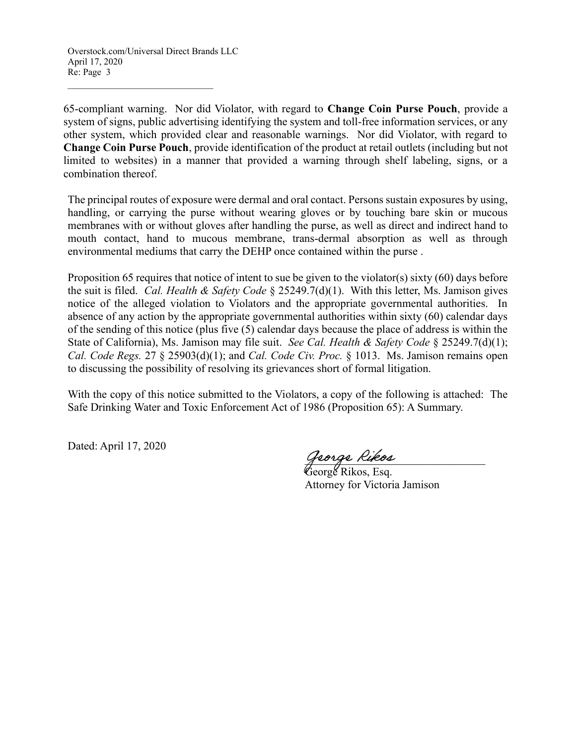$\mathcal{L}_\text{max}$  , where  $\mathcal{L}_\text{max}$  and  $\mathcal{L}_\text{max}$  and  $\mathcal{L}_\text{max}$ 

65-compliant warning. Nor did Violator, with regard to **Change Coin Purse Pouch**, provide a system of signs, public advertising identifying the system and toll-free information services, or any other system, which provided clear and reasonable warnings. Nor did Violator, with regard to **Change Coin Purse Pouch**, provide identification of the product at retail outlets (including but not limited to websites) in a manner that provided a warning through shelf labeling, signs, or a combination thereof.

The principal routes of exposure were dermal and oral contact. Persons sustain exposures by using, handling, or carrying the purse without wearing gloves or by touching bare skin or mucous membranes with or without gloves after handling the purse, as well as direct and indirect hand to mouth contact, hand to mucous membrane, trans-dermal absorption as well as through environmental mediums that carry the DEHP once contained within the purse .

Proposition 65 requires that notice of intent to sue be given to the violator(s) sixty (60) days before the suit is filed. *Cal. Health & Safety Code* § 25249.7(d)(1). With this letter, Ms. Jamison gives notice of the alleged violation to Violators and the appropriate governmental authorities. In absence of any action by the appropriate governmental authorities within sixty (60) calendar days of the sending of this notice (plus five (5) calendar days because the place of address is within the State of California), Ms. Jamison may file suit. *See Cal. Health & Safety Code* § 25249.7(d)(1); *Cal. Code Regs.* 27 § 25903(d)(1); and *Cal. Code Civ. Proc.* § 1013. Ms. Jamison remains open to discussing the possibility of resolving its grievances short of formal litigation.

With the copy of this notice submitted to the Violators, a copy of the following is attached: The Safe Drinking Water and Toxic Enforcement Act of 1986 (Proposition 65): A Summary.

Dated: April 17, 2020

\_\_\_\_\_\_\_\_\_\_\_\_\_\_\_\_\_\_\_\_\_\_\_\_\_\_\_\_\_\_\_\_

George Rikos, Esq. Attorney for Victoria Jamison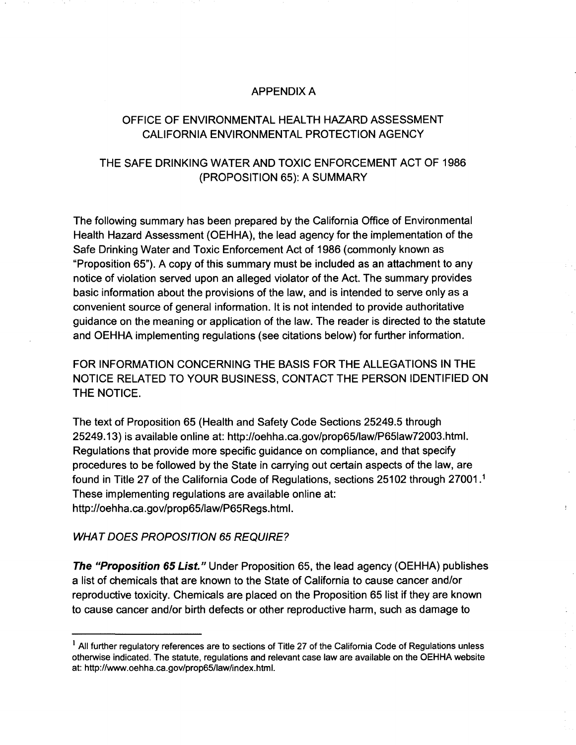#### **APPENDIX A**

## OFFICE OF ENVIRONMENTAL HEALTH HAZARD ASSESSMENT CALIFORNIA ENVIRONMENTAL PROTECTION AGENCY

## THE SAFE DRINKING WATER AND TOXIC ENFORCEMENT ACT OF 1986 (PROPOSITION 65): A SUMMARY

The following summary has been prepared by the California Office of Environmental Health Hazard Assessment (OEHHA), the lead agency for the implementation of the Safe Drinking Water and Toxic Enforcement Act of 1986 (commonly known as "Proposition 65"). A copy of this summary must be included as an attachment to any notice of violation served upon an alleged violator of the Act. The summary provides basic information about the provisions of the law, and is intended to serve only as a convenient source of general information. It is not intended to provide authoritative guidance on the meaning or application of the law. The reader is directed to the statute and OEHHA implementing regulations (see citations below) for further information.

FOR INFORMATION CONCERNING THE BASIS FOR THE ALLEGATIONS IN THE NOTICE RELATED TO YOUR BUSINESS, CONTACT THE PERSON IDENTIFIED ON THE NOTICE.

The text of Proposition 65 (Health and Safety Code Sections 25249.5 through 25249.13) is available online at: http://oehha.ca.gov/prop65/law/P65law72003.html. Regulations that provide more specific guidance on compliance, and that specify procedures to be followed by the State in carrying out certain aspects of the law, are found in Title 27 of the California Code of Regulations, sections 25102 through 27001.<sup>1</sup> These implementing regulations are available online at: http://oehha.ca.gov/prop65/law/P65Regs.html.

ŧ.

#### **WHAT DOES PROPOSITION 65 REQUIRE?**

**The "Proposition 65 List."** Under Proposition 65, the lead agency (OEHHA) publishes a list of chemicals that are known to the State of California to cause cancer and/or reproductive toxicity. Chemicals are placed on the Proposition 65 list if they are known to cause cancer and/or birth defects or other reproductive harm, such as damage to

<sup>&</sup>lt;sup>1</sup> All further regulatory references are to sections of Title 27 of the California Code of Regulations unless otherwise indicated. The statute, regulations and relevant case law are available on the OEHHA website at: http://www.oehha.ca.gov/prop65/law/index.html.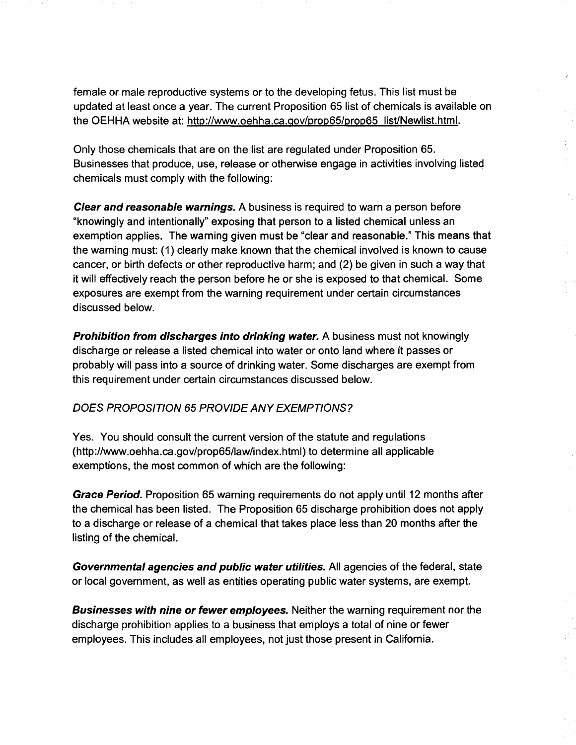female or male reproductive systems or to the developing fetus. This list must be updated at least once a year. The current Proposition 65 list of chemicals is available on the OEHHA website at: http://www.oehha.ca.gov/prop65/prop65 list/Newlist.html.

Only those chemicals that are on the list are regulated under Proposition 65. Businesses that produce, use, release or otherwise engage in activities involving listed chemicals must comply with the following:

 $\hat{\epsilon}_i$ 

**Clear and reasonable warnings.** A business is required to warn a person before "knowingly and intentionally" exposing that person to a listed chemical unless an exemption applies. The warning given must be "clear and reasonable." This means that the warning must: (1) clearly make known that the chemical involved is known to cause cancer, or birth defects or other reproductive harm; and (2) be given in such a way that it will effectively reach the person before he or she is exposed to that chemical. Some exposures are exempt from the warning requirement under certain circumstances discussed below.

**Prohibition from discharges into drinking water.** A business must not knowingly discharge or release a listed chemical into water or onto land where it passes or probably will pass into a source of drinking water. Some discharges are exempt from this requirement under certain circumstances discussed below.

## DOES PROPOSITION 65 PROVIDE ANY EXEMPTIONS?

Yes. You should consult the current version of the statute and regulations (http://www.oehha.ca.gov/prop65/law/index.html) to determine all applicable exemptions, the most common of which are the following:

Grace Period. Proposition 65 warning requirements do not apply until 12 months after the chemical has been listed. The Proposition 65 discharge prohibition does not apply to a discharge or release of a chemical that takes place less than 20 months after the listing of the chemical.

Governmental agencies and public water utilities. All agencies of the federal, state or local government, as well as entities operating public water systems, are exempt.

**Businesses with nine or fewer employees.** Neither the warning requirement nor the discharge prohibition applies to a business that employs a total of nine or fewer employees. This includes all employees, not just those present in California.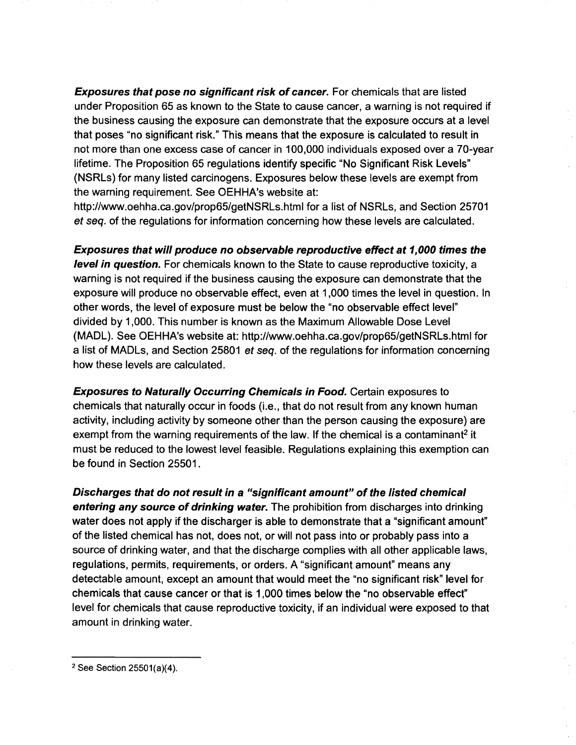**Exposures that pose no significant risk of cancer.** For chemicals that are listed under Proposition 65 as known to the State to cause cancer, a warning is not required if the business causing the exposure can demonstrate that the exposure occurs at a level that poses "no significant risk." This means that the exposure is calculated to result in not more than one excess case of cancer in 100,000 individuals exposed over a 70-year lifetime. The Proposition 65 regulations identify specific "No Significant Risk Levels" (NSRLs) for many listed carcinogens. Exposures below these levels are exempt from the warning requirement. See OEHHA's website at:

http://www.oehha.ca.gov/prop65/getNSRLs.html for a list of NSRLs, and Section 25701 et seq. of the regulations for information concerning how these levels are calculated.

Exposures that will produce no observable reproductive effect at 1,000 times the level in question. For chemicals known to the State to cause reproductive toxicity, a warning is not required if the business causing the exposure can demonstrate that the exposure will produce no observable effect, even at 1,000 times the level in question. In other words, the level of exposure must be below the "no observable effect level" divided by 1,000. This number is known as the Maximum Allowable Dose Level (MADL). See OEHHA's website at: http://www.oehha.ca.gov/prop65/getNSRLs.html for a list of MADLs, and Section 25801 *et seq.* of the regulations for information concerning how these levels are calculated.

**Exposures to Naturally Occurring Chemicals in Food.** Certain exposures to chemicals that naturally occur in foods (i.e., that do not result from any known human activity, including activity by someone other than the person causing the exposure) are exempt from the warning requirements of the law. If the chemical is a contaminant<sup>2</sup> it must be reduced to the lowest level feasible. Regulations explaining this exemption can be found in Section 25501.

Discharges that do not result in a "significant amount" of the listed chemical entering any source of drinking water. The prohibition from discharges into drinking water does not apply if the discharger is able to demonstrate that a "significant amount" of the listed chemical has not, does not, or will not pass into or probably pass into a source of drinking water, and that the discharge complies with all other applicable laws, regulations, permits, requirements, or orders. A "significant amount" means any detectable amount, except an amount that would meet the "no significant risk" level for chemicals that cause cancer or that is 1,000 times below the "no observable effect" level for chemicals that cause reproductive toxicity, if an individual were exposed to that amount in drinking water.

<sup>&</sup>lt;sup>2</sup> See Section  $25501(a)(4)$ .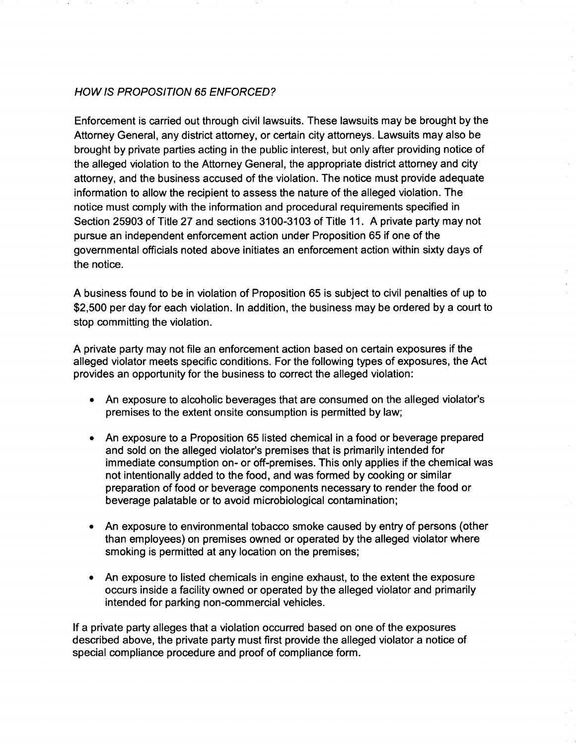## **HOW IS PROPOSITION 65 ENFORCED?**

Enforcement is carried out through civil lawsuits. These lawsuits may be brought by the Attorney General, any district attorney, or certain city attorneys. Lawsuits may also be brought by private parties acting in the public interest, but only after providing notice of the alleged violation to the Attorney General, the appropriate district attorney and city attorney, and the business accused of the violation. The notice must provide adequate information to allow the recipient to assess the nature of the alleged violation. The notice must comply with the information and procedural requirements specified in Section 25903 of Title 27 and sections 3100-3103 of Title 11. A private party may not pursue an independent enforcement action under Proposition 65 if one of the governmental officials noted above initiates an enforcement action within sixty days of the notice.

A business found to be in violation of Proposition 65 is subject to civil penalties of up to \$2,500 per day for each violation. In addition, the business may be ordered by a court to stop committing the violation.

A private party may not file an enforcement action based on certain exposures if the alleged violator meets specific conditions. For the following types of exposures, the Act provides an opportunity for the business to correct the alleged violation:

- An exposure to alcoholic beverages that are consumed on the alleged violator's premises to the extent onsite consumption is permitted by law;
- An exposure to a Proposition 65 listed chemical in a food or beverage prepared and sold on the alleged violator's premises that is primarily intended for immediate consumption on- or off-premises. This only applies if the chemical was not intentionally added to the food, and was formed by cooking or similar preparation of food or beverage components necessary to render the food or beverage palatable or to avoid microbiological contamination;
- An exposure to environmental tobacco smoke caused by entry of persons (other than employees) on premises owned or operated by the alleged violator where smoking is permitted at any location on the premises;
- An exposure to listed chemicals in engine exhaust, to the extent the exposure occurs inside a facility owned or operated by the alleged violator and primarily intended for parking non-commercial vehicles.

If a private party alleges that a violation occurred based on one of the exposures described above, the private party must first provide the alleged violator a notice of special compliance procedure and proof of compliance form.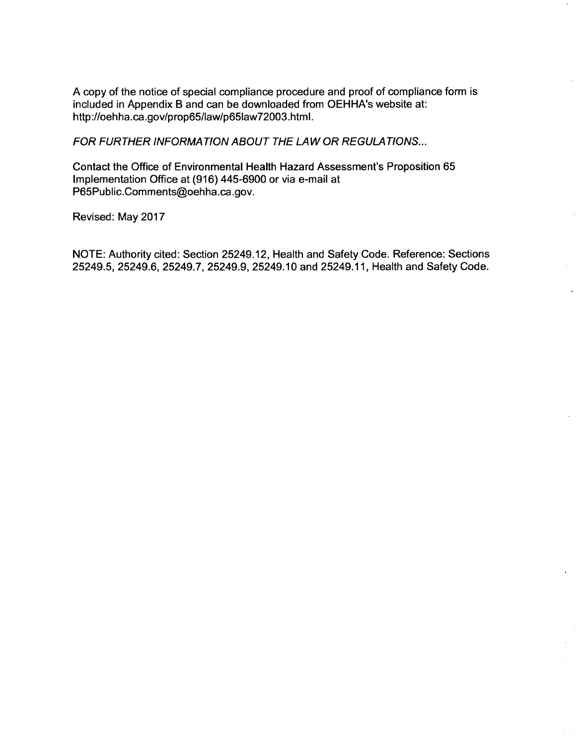A copy of the notice of special compliance procedure and proof of compliance form is included in Appendix B and can be downloaded from OEHHA's website at: http://oehha.ca.gov/prop65/law/p65law72003.html.

FOR FURTHER INFORMATION ABOUT THE LAW OR REGULATIONS...

Contact the Office of Environmental Health Hazard Assessment's Proposition 65 Implementation Office at (916) 445-6900 or via e-mail at P65Public.Comments@oehha.ca.gov.

Revised: May 2017

NOTE: Authority cited: Section 25249.12, Health and Safety Code. Reference: Sections 25249.5, 25249.6, 25249.7, 25249.9, 25249.10 and 25249.11, Health and Safety Code.

 $\frac{1}{2}$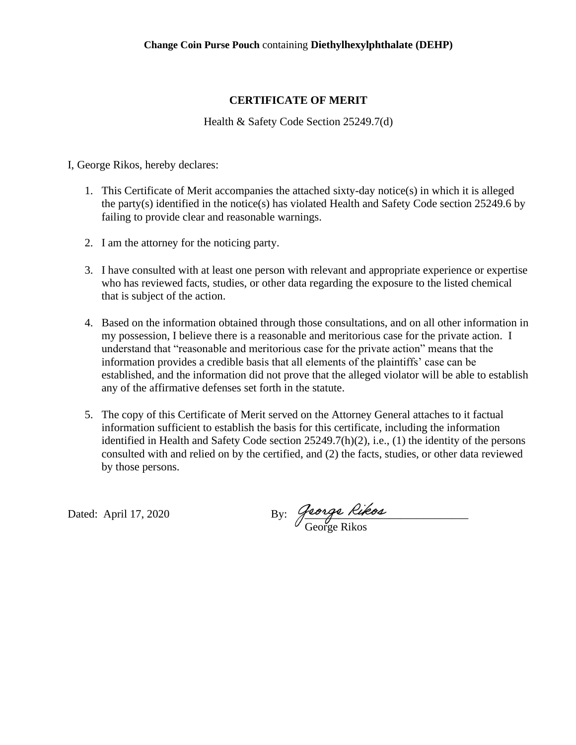## **CERTIFICATE OF MERIT**

Health & Safety Code Section 25249.7(d)

I, George Rikos, hereby declares:

- 1. This Certificate of Merit accompanies the attached sixty-day notice(s) in which it is alleged the party(s) identified in the notice(s) has violated Health and Safety Code section 25249.6 by failing to provide clear and reasonable warnings.
- 2. I am the attorney for the noticing party.
- 3. I have consulted with at least one person with relevant and appropriate experience or expertise who has reviewed facts, studies, or other data regarding the exposure to the listed chemical that is subject of the action.
- 4. Based on the information obtained through those consultations, and on all other information in my possession, I believe there is a reasonable and meritorious case for the private action. I understand that "reasonable and meritorious case for the private action" means that the information provides a credible basis that all elements of the plaintiffs' case can be established, and the information did not prove that the alleged violator will be able to establish any of the affirmative defenses set forth in the statute.
- 5. The copy of this Certificate of Merit served on the Attorney General attaches to it factual information sufficient to establish the basis for this certificate, including the information identified in Health and Safety Code section 25249.7(h)(2), i.e., (1) the identity of the persons consulted with and relied on by the certified, and (2) the facts, studies, or other data reviewed by those persons.

Dated: April 17, 2020  $\qquad \qquad$  By: George Rikes George Rikos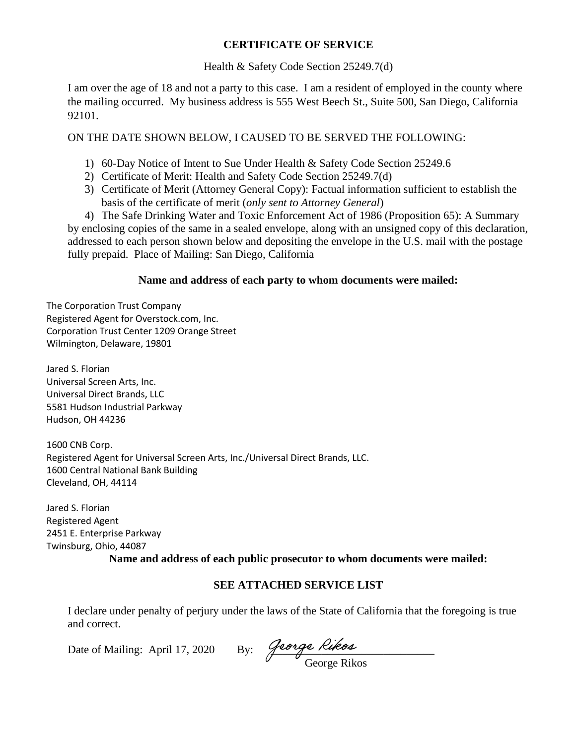#### **CERTIFICATE OF SERVICE**

#### Health & Safety Code Section 25249.7(d)

I am over the age of 18 and not a party to this case. I am a resident of employed in the county where the mailing occurred. My business address is 555 West Beech St., Suite 500, San Diego, California 92101.

ON THE DATE SHOWN BELOW, I CAUSED TO BE SERVED THE FOLLOWING:

- 1) 60-Day Notice of Intent to Sue Under Health & Safety Code Section 25249.6
- 2) Certificate of Merit: Health and Safety Code Section 25249.7(d)
- 3) Certificate of Merit (Attorney General Copy): Factual information sufficient to establish the basis of the certificate of merit (*only sent to Attorney General*)

4) The Safe Drinking Water and Toxic Enforcement Act of 1986 (Proposition 65): A Summary by enclosing copies of the same in a sealed envelope, along with an unsigned copy of this declaration, addressed to each person shown below and depositing the envelope in the U.S. mail with the postage fully prepaid. Place of Mailing: San Diego, California

#### **Name and address of each party to whom documents were mailed:**

The Corporation Trust Company Registered Agent for Overstock.com, Inc. Corporation Trust Center 1209 Orange Street Wilmington, Delaware, 19801

Jared S. Florian Universal Screen Arts, Inc. Universal Direct Brands, LLC 5581 Hudson Industrial Parkway Hudson, OH 44236

1600 CNB Corp. Registered Agent for Universal Screen Arts, Inc./Universal Direct Brands, LLC. 1600 Central National Bank Building Cleveland, OH, 44114

Jared S. Florian Registered Agent 2451 E. Enterprise Parkway Twinsburg, Ohio, 44087

## **Name and address of each public prosecutor to whom documents were mailed:**

## **SEE ATTACHED SERVICE LIST**

I declare under penalty of perjury under the laws of the State of California that the foregoing is true and correct.

Date of Mailing: April 17, 2020 By:  $\frac{\partial^2 u}{\partial x \partial y}$  River

George Rikos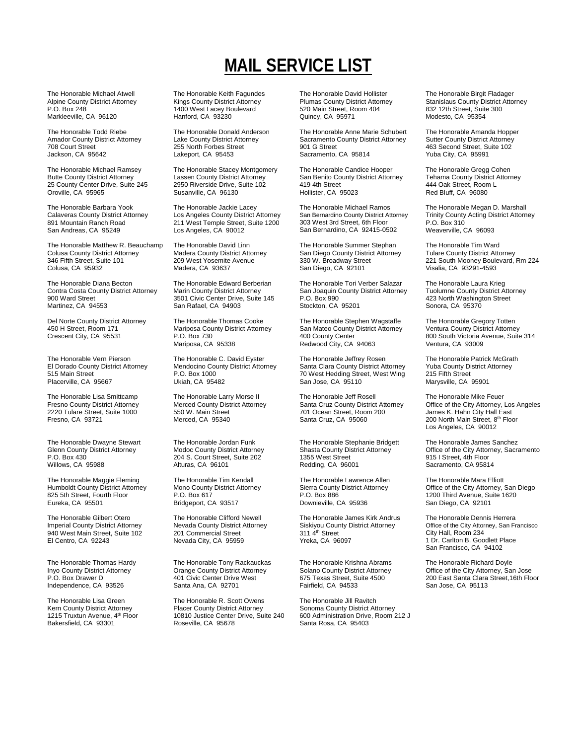## on **MAIL SERVICE LIST**

The Honorable Michael Atwell Alpine County District Attorney P.O. Box 248 Markleeville, CA 96120

The Honorable Todd Riebe Amador County District Attorney 708 Court Street Jackson, CA 95642

The Honorable Michael Ramsey Butte County District Attorney 25 County Center Drive, Suite 245 Oroville, CA 95965

The Honorable Barbara Yook Calaveras County District Attorney 891 Mountain Ranch Road San Andreas, CA 95249

The Honorable Matthew R. Beauchamp Colusa County District Attorney 346 Fifth Street, Suite 101 Colusa, CA 95932

The Honorable Diana Becton Contra Costa County District Attorney 900 Ward Street Martinez, CA 94553

Del Norte County District Attorney 450 H Street, Room 171 Crescent City, CA 95531

The Honorable Vern Pierson El Dorado County District Attorney 515 Main Street Placerville, CA 95667

The Honorable Lisa Smittcamp Fresno County District Attorney 2220 Tulare Street, Suite 1000 Fresno, CA 93721

The Honorable Dwayne Stewart Glenn County District Attorney P.O. Box 430 Willows, CA 95988

The Honorable Maggie Fleming Humboldt County District Attorney 825 5th Street, Fourth Floor Eureka, CA 95501

The Honorable Gilbert Otero Imperial County District Attorney 940 West Main Street, Suite 102 El Centro, CA 92243

The Honorable Thomas Hardy Inyo County District Attorney P.O. Box Drawer D Independence, CA 93526

The Honorable Lisa Green Kern County District Attorney 1215 Truxtun Avenue, 4<sup>th</sup> Floor Bakersfield, CA 93301

The Honorable Keith Fagundes Kings County District Attorney 1400 West Lacey Boulevard Hanford, CA 93230

The Honorable Donald Anderson Lake County District Attorney 255 North Forbes Street Lakeport, CA 95453

The Honorable Stacey Montgomery Lassen County District Attorney 2950 Riverside Drive, Suite 102 Susanville, CA 96130

The Honorable Jackie Lacey Los Angeles County District Attorney 211 West Temple Street, Suite 1200 Los Angeles, CA 90012

The Honorable David Linn Madera County District Attorney 209 West Yosemite Avenue Madera, CA 93637

The Honorable Edward Berberian Marin County District Attorney 3501 Civic Center Drive, Suite 145 San Rafael, CA 94903

The Honorable Thomas Cooke Mariposa County District Attorney P.O. Box 730 Mariposa, CA 95338

The Honorable C. David Eyster Mendocino County District Attorney P.O. Box 1000 Ukiah, CA 95482

The Honorable Larry Morse II Merced County District Attorney 550 W. Main Street Merced, CA 95340

The Honorable Jordan Funk Modoc County District Attorney 204 S. Court Street, Suite 202 Alturas, CA 96101

The Honorable Tim Kendall Mono County District Attorney P.O. Box 617 Bridgeport, CA 93517

The Honorable Clifford Newell Nevada County District Attorney 201 Commercial Street Nevada City, CA 95959

The Honorable Tony Rackauckas Orange County District Attorney 401 Civic Center Drive West Santa Ana, CA 92701

The Honorable R. Scott Owens Placer County District Attorney 10810 Justice Center Drive, Suite 240 Roseville, CA 95678

The Honorable David Hollister Plumas County District Attorney 520 Main Street, Room 404 Quincy, CA 95971

The Honorable Anne Marie Schubert Sacramento County District Attorney 901 G Street Sacramento, CA 95814

The Honorable Candice Hooper San Benito County District Attorney 419 4th Street Hollister, CA 95023

The Honorable Michael Ramos San Bernardino County District Attorney 303 West 3rd Street, 6th Floor San Bernardino, CA 92415-0502

The Honorable Summer Stephan San Diego County District Attorney 330 W. Broadway Street San Diego, CA 92101

The Honorable Tori Verber Salazar San Joaquin County District Attorney P.O. Box 990 Stockton, CA 95201

The Honorable Stephen Wagstaffe San Mateo County District Attorney 400 County Center Redwood City, CA 94063

The Honorable Jeffrey Rosen Santa Clara County District Attorney 70 West Hedding Street, West Wing San Jose, CA 95110

The Honorable Jeff Rosell Santa Cruz County District Attorney 701 Ocean Street, Room 200 Santa Cruz, CA 95060

The Honorable Stephanie Bridgett Shasta County District Attorney 1355 West Street Redding, CA 96001

The Honorable Lawrence Allen Sierra County District Attorney P.O. Box 886 Downieville, CA 95936

The Honorable James Kirk Andrus Siskiyou County District Attorney 311 4<sup>th</sup> Street Yreka, CA 96097

The Honorable Krishna Abrams Solano County District Attorney 675 Texas Street, Suite 4500 Fairfield, CA 94533

The Honorable Jill Ravitch Sonoma County District Attorney 600 Administration Drive, Room 212 J Santa Rosa, CA 95403

The Honorable Birgit Fladager Stanislaus County District Attorney 832 12th Street, Suite 300 Modesto, CA 95354

The Honorable Amanda Hopper Sutter County District Attorney 463 Second Street, Suite 102 Yuba City, CA 95991

The Honorable Gregg Cohen Tehama County District Attorney 444 Oak Street, Room L Red Bluff, CA 96080

The Honorable Megan D. Marshall Trinity County Acting District Attorney P.O. Box 310 Weaverville, CA 96093

The Honorable Tim Ward Tulare County District Attorney 221 South Mooney Boulevard, Rm 224 Visalia, CA 93291-4593

The Honorable Laura Krieg Tuolumne County District Attorney 423 North Washington Street Sonora, CA 95370

The Honorable Gregory Totten Ventura County District Attorney 800 South Victoria Avenue, Suite 314 Ventura, CA 93009

The Honorable Patrick McGrath Yuba County District Attorney 215 Fifth Street Marysville, CA 95901

The Honorable Mike Feuer Office of the City Attorney, Los Angeles James K. Hahn City Hall East 200 North Main Street, 8<sup>th</sup> Floor Los Angeles, CA 90012

The Honorable James Sanchez Office of the City Attorney, Sacramento 915 I Street, 4th Floor Sacramento, CA 95814

The Honorable Mara Elliott Office of the City Attorney, San Diego 1200 Third Avenue, Suite 1620 San Diego, CA 92101

The Honorable Dennis Herrera Office of the City Attorney, San Francisco City Hall, Room 234 1 Dr. Carlton B. Goodlett Place San Francisco, CA 94102

The Honorable Richard Doyle Office of the City Attorney, San Jose 200 East Santa Clara Street,16th Floor San Jose, CA 95113